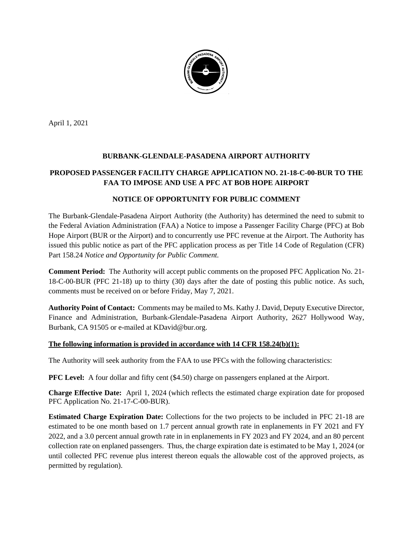

April 1, 2021

## **BURBANK-GLENDALE-PASADENA AIRPORT AUTHORITY**

# **PROPOSED PASSENGER FACILITY CHARGE APPLICATION NO. 21-18-C-00-BUR TO THE FAA TO IMPOSE AND USE A PFC AT BOB HOPE AIRPORT**

#### **NOTICE OF OPPORTUNITY FOR PUBLIC COMMENT**

The Burbank-Glendale-Pasadena Airport Authority (the Authority) has determined the need to submit to the Federal Aviation Administration (FAA) a Notice to impose a Passenger Facility Charge (PFC) at Bob Hope Airport (BUR or the Airport) and to concurrently use PFC revenue at the Airport. The Authority has issued this public notice as part of the PFC application process as per Title 14 Code of Regulation (CFR) Part 158.24 *Notice and Opportunity for Public Comment.*

**Comment Period:** The Authority will accept public comments on the proposed PFC Application No. 21- 18-C-00-BUR (PFC 21-18) up to thirty (30) days after the date of posting this public notice. As such, comments must be received on or before Friday, May 7, 2021.

**Authority Point of Contact:** Comments may be mailed to Ms. Kathy J. David, Deputy Executive Director, Finance and Administration, Burbank-Glendale-Pasadena Airport Authority, 2627 Hollywood Way, Burbank, CA 91505 or e-mailed at KDavid@bur.org.

#### **The following information is provided in accordance with 14 CFR 158.24(b)(1):**

The Authority will seek authority from the FAA to use PFCs with the following characteristics:

**PFC Level:** A four dollar and fifty cent (\$4.50) charge on passengers enplaned at the Airport.

**Charge Effective Date:** April 1, 2024 (which reflects the estimated charge expiration date for proposed PFC Application No. 21-17-C-00-BUR).

**Estimated Charge Expiration Date:** Collections for the two projects to be included in PFC 21-18 are estimated to be one month based on 1.7 percent annual growth rate in enplanements in FY 2021 and FY 2022, and a 3.0 percent annual growth rate in in enplanements in FY 2023 and FY 2024, and an 80 percent collection rate on enplaned passengers. Thus, the charge expiration date is estimated to be May 1, 2024 (or until collected PFC revenue plus interest thereon equals the allowable cost of the approved projects, as permitted by regulation).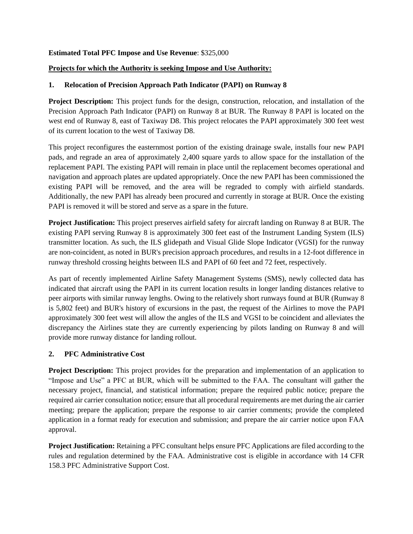#### **Estimated Total PFC Impose and Use Revenue**: \$325,000

#### **Projects for which the Authority is seeking Impose and Use Authority:**

#### **1. Relocation of Precision Approach Path Indicator (PAPI) on Runway 8**

**Project Description:** This project funds for the design, construction, relocation, and installation of the Precision Approach Path Indicator (PAPI) on Runway 8 at BUR. The Runway 8 PAPI is located on the west end of Runway 8, east of Taxiway D8. This project relocates the PAPI approximately 300 feet west of its current location to the west of Taxiway D8.

This project reconfigures the easternmost portion of the existing drainage swale, installs four new PAPI pads, and regrade an area of approximately 2,400 square yards to allow space for the installation of the replacement PAPI. The existing PAPI will remain in place until the replacement becomes operational and navigation and approach plates are updated appropriately. Once the new PAPI has been commissioned the existing PAPI will be removed, and the area will be regraded to comply with airfield standards. Additionally, the new PAPI has already been procured and currently in storage at BUR. Once the existing PAPI is removed it will be stored and serve as a spare in the future.

**Project Justification:** This project preserves airfield safety for aircraft landing on Runway 8 at BUR. The existing PAPI serving Runway 8 is approximately 300 feet east of the Instrument Landing System (ILS) transmitter location. As such, the ILS glidepath and Visual Glide Slope Indicator (VGSI) for the runway are non-coincident, as noted in BUR's precision approach procedures, and results in a 12-foot difference in runway threshold crossing heights between ILS and PAPI of 60 feet and 72 feet, respectively.

As part of recently implemented Airline Safety Management Systems (SMS), newly collected data has indicated that aircraft using the PAPI in its current location results in longer landing distances relative to peer airports with similar runway lengths. Owing to the relatively short runways found at BUR (Runway 8 is 5,802 feet) and BUR's history of excursions in the past, the request of the Airlines to move the PAPI approximately 300 feet west will allow the angles of the ILS and VGSI to be coincident and alleviates the discrepancy the Airlines state they are currently experiencing by pilots landing on Runway 8 and will provide more runway distance for landing rollout.

## **2. PFC Administrative Cost**

**Project Description:** This project provides for the preparation and implementation of an application to "Impose and Use" a PFC at BUR, which will be submitted to the FAA. The consultant will gather the necessary project, financial, and statistical information; prepare the required public notice; prepare the required air carrier consultation notice; ensure that all procedural requirements are met during the air carrier meeting; prepare the application; prepare the response to air carrier comments; provide the completed application in a format ready for execution and submission; and prepare the air carrier notice upon FAA approval.

**Project Justification:** Retaining a PFC consultant helps ensure PFC Applications are filed according to the rules and regulation determined by the FAA. Administrative cost is eligible in accordance with 14 CFR 158.3 PFC Administrative Support Cost.